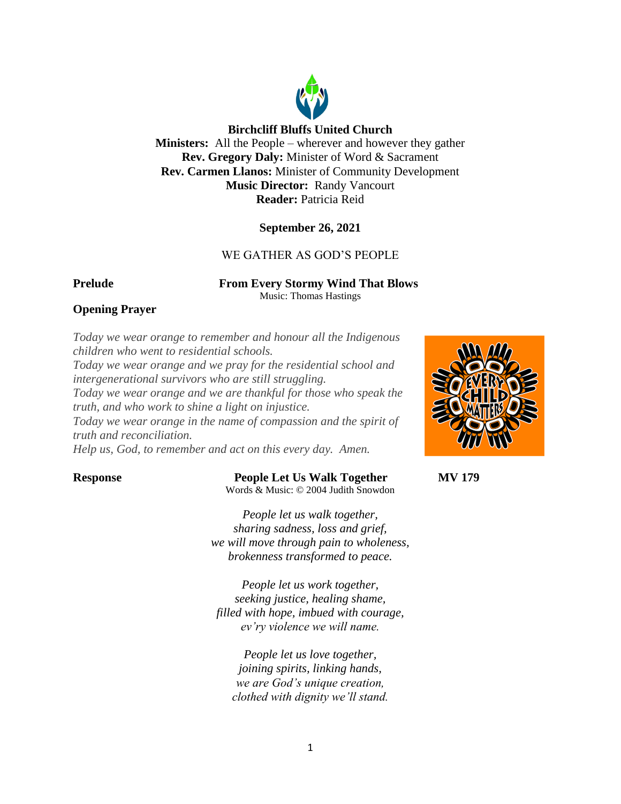

# **Birchcliff Bluffs United Church**

**Ministers:** All the People – wherever and however they gather **Rev. Gregory Daly:** Minister of Word & Sacrament **Rev. Carmen Llanos:** Minister of Community Development **Music Director:** Randy Vancourt **Reader:** Patricia Reid

## **September 26, 2021**

# WE GATHER AS GOD'S PEOPLE

**Prelude From Every Stormy Wind That Blows** Music: Thomas Hastings

# **Opening Prayer**

*Today we wear orange to remember and honour all the Indigenous children who went to residential schools. Today we wear orange and we pray for the residential school and intergenerational survivors who are still struggling. Today we wear orange and we are thankful for those who speak the* 

*truth, and who work to shine a light on injustice. Today we wear orange in the name of compassion and the spirit of truth and reconciliation.*

*Help us, God, to remember and act on this every day. Amen.*

### **Response People Let Us Walk Together MV 179** Words & Music: © 2004 Judith Snowdon

*People let us walk together, sharing sadness, loss and grief, we will move through pain to wholeness, brokenness transformed to peace.*

*People let us work together, seeking justice, healing shame, filled with hope, imbued with courage, ev'ry violence we will name.*

*People let us love together, joining spirits, linking hands, we are God's unique creation, clothed with dignity we'll stand.*

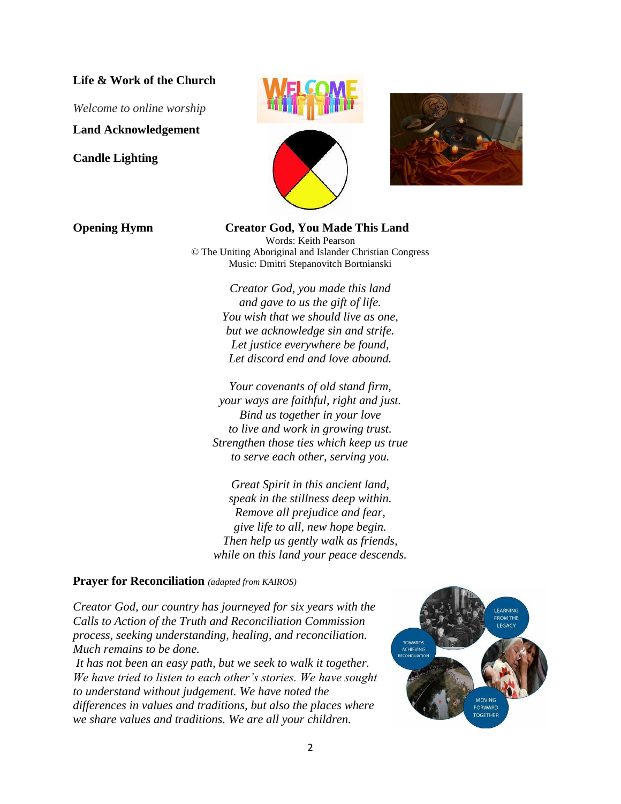## **Life & Work of the Church**

*Welcome to online worship*

**Land Acknowledgement**

**Candle Lighting**







**Opening Hymn Creator God, You Made This Land** Words: Keith Pearson © The Uniting Aboriginal and Islander Christian Congress Music: Dmitri Stepanovitch Bortnianski

> *Creator God, you made this land and gave to us the gift of life. You wish that we should live as one, but we acknowledge sin and strife. Let justice everywhere be found, Let discord end and love abound.*

*Your covenants of old stand firm, your ways are faithful, right and just. Bind us together in your love to live and work in growing trust. Strengthen those ties which keep us true to serve each other, serving you.*

*Great Spirit in this ancient land, speak in the stillness deep within. Remove all prejudice and fear, give life to all, new hope begin. Then help us gently walk as friends, while on this land your peace descends.*

### **Prayer for Reconciliation** *(adapted from KAIROS)*

*Creator God, our country has journeyed for six years with the Calls to Action of the Truth and Reconciliation Commission process, seeking understanding, healing, and reconciliation. Much remains to be done.* 

*It has not been an easy path, but we seek to walk it together. We have tried to listen to each other's stories. We have sought to understand without judgement. We have noted the differences in values and traditions, but also the places where we share values and traditions. We are all your children.* 

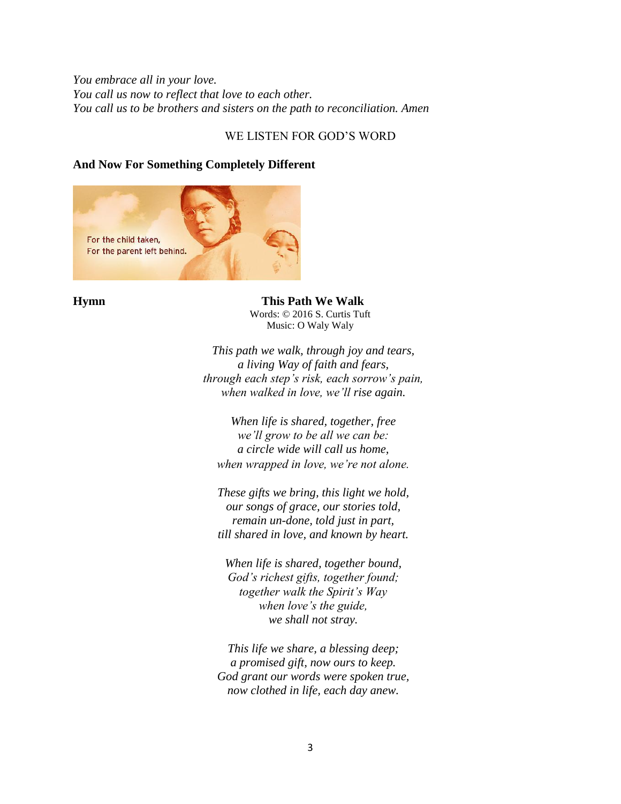# *You embrace all in your love. You call us now to reflect that love to each other. You call us to be brothers and sisters on the path to reconciliation. Amen*

# WE LISTEN FOR GOD'S WORD

# **And Now For Something Completely Different**



**Hymn This Path We Walk** Words: © 2016 S. Curtis Tuft Music: O Waly Waly

> *This path we walk, through joy and tears, a living Way of faith and fears, through each step's risk, each sorrow's pain, when walked in love, we'll rise again.*

*When life is shared, together, free we'll grow to be all we can be: a circle wide will call us home, when wrapped in love, we're not alone.*

*These gifts we bring, this light we hold, our songs of grace, our stories told, remain un-done, told just in part, till shared in love, and known by heart.*

*When life is shared, together bound, God's richest gifts, together found; together walk the Spirit's Way when love's the guide, we shall not stray.*

*This life we share, a blessing deep; a promised gift, now ours to keep. God grant our words were spoken true, now clothed in life, each day anew.*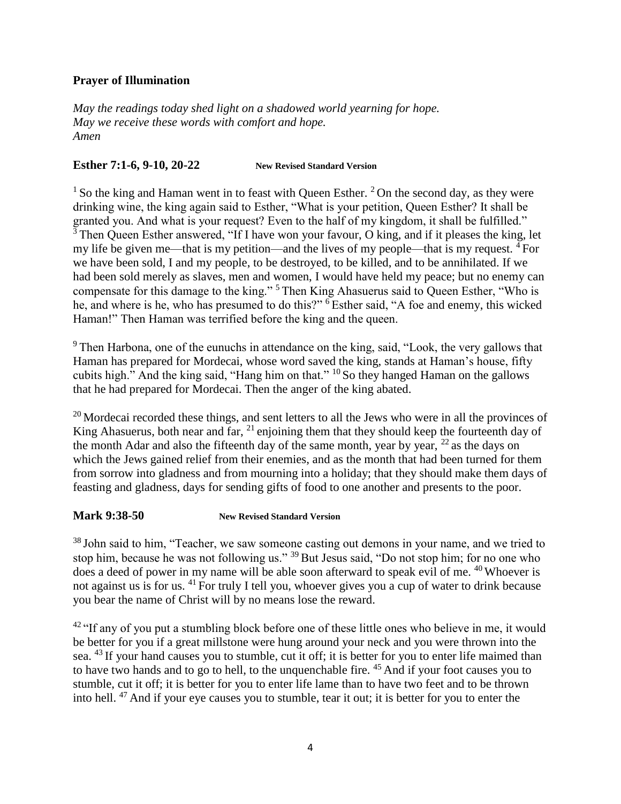# **Prayer of Illumination**

*May the readings today shed light on a shadowed world yearning for hope. May we receive these words with comfort and hope. Amen*

## **Esther 7:1-6, 9-10, 20-22 New Revised Standard Version**

<sup>1</sup> So the king and Haman went in to feast with Queen Esther. <sup>2</sup> On the second day, as they were drinking wine, the king again said to Esther, "What is your petition, Queen Esther? It shall be granted you. And what is your request? Even to the half of my kingdom, it shall be fulfilled." <sup>3</sup> Then Queen Esther answered, "If I have won your favour, O king, and if it pleases the king, let my life be given me—that is my petition—and the lives of my people—that is my request. <sup>4</sup> For we have been sold, I and my people, to be destroyed, to be killed, and to be annihilated. If we had been sold merely as slaves, men and women, I would have held my peace; but no enemy can compensate for this damage to the king." <sup>5</sup> Then King Ahasuerus said to Queen Esther, "Who is he, and where is he, who has presumed to do this?" <sup>6</sup> Esther said, "A foe and enemy, this wicked Haman!" Then Haman was terrified before the king and the queen.

<sup>9</sup> Then Harbona, one of the eunuchs in attendance on the king, said, "Look, the very gallows that Haman has prepared for Mordecai, whose word saved the king, stands at Haman's house, fifty cubits high." And the king said, "Hang him on that." <sup>10</sup> So they hanged Haman on the gallows that he had prepared for Mordecai. Then the anger of the king abated.

 $20$  Mordecai recorded these things, and sent letters to all the Jews who were in all the provinces of King Ahasuerus, both near and far, <sup>21</sup> enjoining them that they should keep the fourteenth day of the month Adar and also the fifteenth day of the same month, year by year,  $^{22}$  as the days on which the Jews gained relief from their enemies, and as the month that had been turned for them from sorrow into gladness and from mourning into a holiday; that they should make them days of feasting and gladness, days for sending gifts of food to one another and presents to the poor.

## **Mark 9:38-50 New Revised Standard Version**

<sup>38</sup> John said to him, "Teacher, we saw someone casting out demons in your name, and we tried to stop him, because he was not following us." <sup>39</sup> But Jesus said, "Do not stop him; for no one who does a deed of power in my name will be able soon afterward to speak evil of me. <sup>40</sup> Whoever is not against us is for us. <sup>41</sup> For truly I tell you, whoever gives you a cup of water to drink because you bear the name of Christ will by no means lose the reward.

 $42$  "If any of you put a stumbling block before one of these little ones who believe in me, it would be better for you if a great millstone were hung around your neck and you were thrown into the sea. <sup>43</sup> If your hand causes you to stumble, cut it off; it is better for you to enter life maimed than to have two hands and to go to hell, to the unquenchable fire. <sup>45</sup> And if your foot causes you to stumble, cut it off; it is better for you to enter life lame than to have two feet and to be thrown into hell. <sup>47</sup> And if your eye causes you to stumble, tear it out; it is better for you to enter the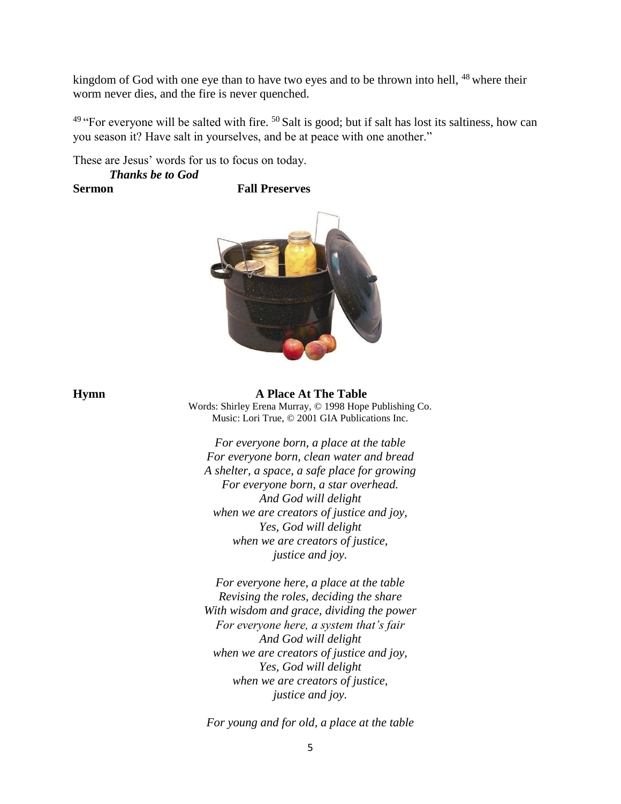kingdom of God with one eye than to have two eyes and to be thrown into hell, <sup>48</sup> where their worm never dies, and the fire is never quenched.

<sup>49</sup> "For everyone will be salted with fire. <sup>50</sup> Salt is good; but if salt has lost its saltiness, how can you season it? Have salt in yourselves, and be at peace with one another."

These are Jesus' words for us to focus on today.

### *Thanks be to God* **Sermon Fall Preserves**



**Hymn A Place At The Table** Words: Shirley Erena Murray, © 1998 Hope Publishing Co. Music: Lori True, © 2001 GIA Publications Inc.

> *For everyone born, a place at the table For everyone born, clean water and bread A shelter, a space, a safe place for growing For everyone born, a star overhead. And God will delight when we are creators of justice and joy, Yes, God will delight when we are creators of justice, justice and joy.*

*For everyone here, a place at the table Revising the roles, deciding the share With wisdom and grace, dividing the power For everyone here, a system that's fair And God will delight when we are creators of justice and joy, Yes, God will delight when we are creators of justice, justice and joy.*

*For young and for old, a place at the table*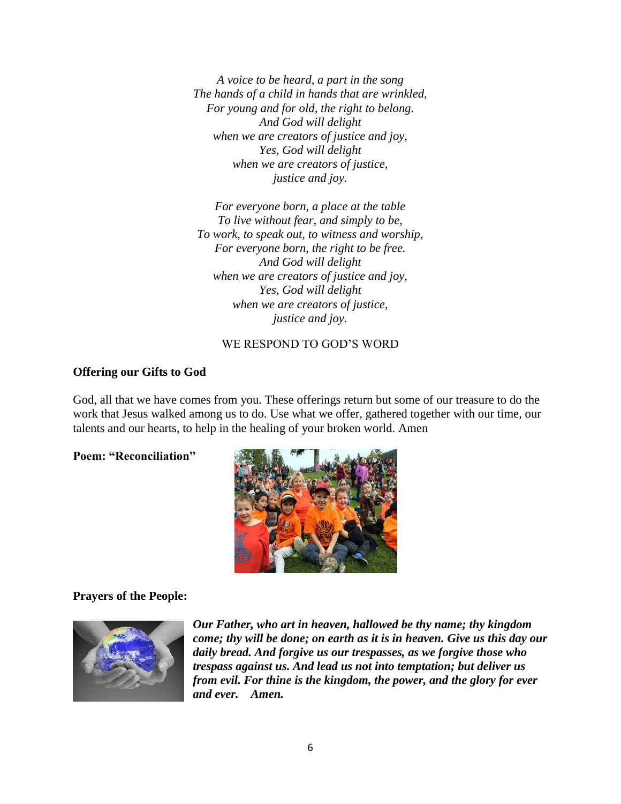*A voice to be heard, a part in the song The hands of a child in hands that are wrinkled, For young and for old, the right to belong. And God will delight when we are creators of justice and joy, Yes, God will delight when we are creators of justice, justice and joy.*

*For everyone born, a place at the table To live without fear, and simply to be, To work, to speak out, to witness and worship, For everyone born, the right to be free. And God will delight when we are creators of justice and joy, Yes, God will delight when we are creators of justice, justice and joy.*

# WE RESPOND TO GOD'S WORD

# **Offering our Gifts to God**

God, all that we have comes from you. These offerings return but some of our treasure to do the work that Jesus walked among us to do. Use what we offer, gathered together with our time, our talents and our hearts, to help in the healing of your broken world. Amen

**Poem: "Reconciliation"**



## **Prayers of the People:**



*Our Father, who art in heaven, hallowed be thy name; thy kingdom come; thy will be done; on earth as it is in heaven. Give us this day our daily bread. And forgive us our trespasses, as we forgive those who trespass against us. And lead us not into temptation; but deliver us from evil. For thine is the kingdom, the power, and the glory for ever and ever. Amen.*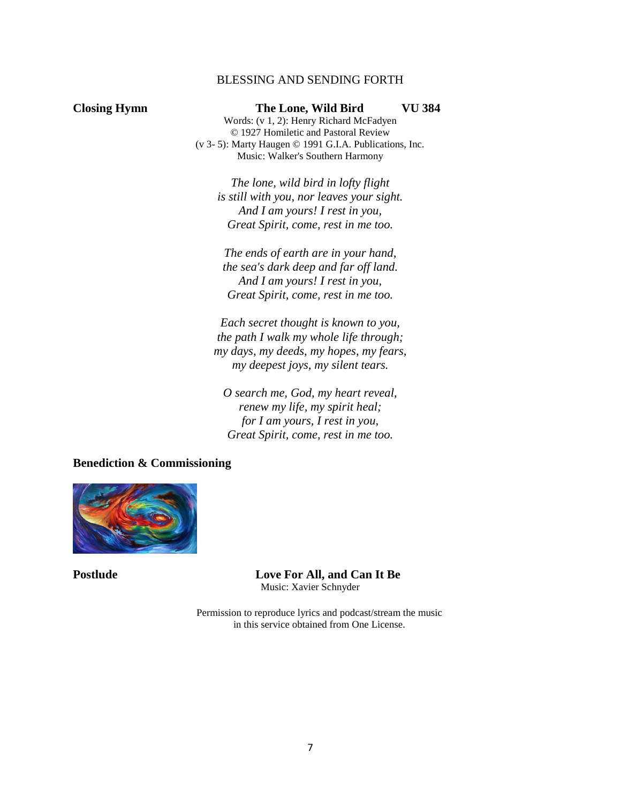## BLESSING AND SENDING FORTH

**Closing Hymn The Lone, Wild Bird VU 384** Words: (v 1, 2): Henry Richard McFadyen © 1927 Homiletic and Pastoral Review (v 3- 5): Marty Haugen © 1991 G.I.A. Publications, Inc. Music: Walker's Southern Harmony

> *The lone, wild bird in lofty flight is still with you, nor leaves your sight. And I am yours! I rest in you, Great Spirit, come, rest in me too.*

*The ends of earth are in your hand, the sea's dark deep and far off land. And I am yours! I rest in you, Great Spirit, come, rest in me too.*

*Each secret thought is known to you, the path I walk my whole life through; my days, my deeds, my hopes, my fears, my deepest joys, my silent tears.*

*O search me, God, my heart reveal, renew my life, my spirit heal; for I am yours, I rest in you, Great Spirit, come, rest in me too.*

**Benediction & Commissioning** 



**Postlude Love For All, and Can It Be** Music: Xavier Schnyder

> Permission to reproduce lyrics and podcast/stream the music in this service obtained from One License.